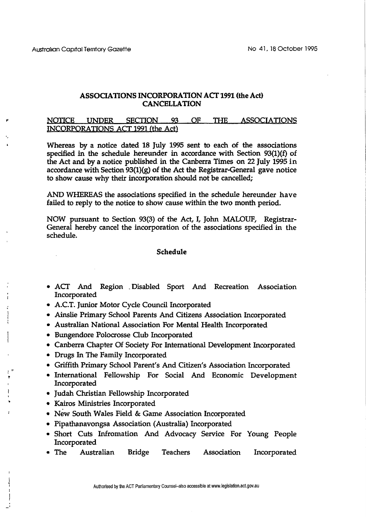## **ASSOCIATIONS INCORPORATION ACT 1991 (the Act) CANCELLATION**

## NOTICE UNDER SECTION 93 OF THE ASSOCIATIONS INCORPORATIONS ACT 1991 (the Act)

Whereas by a notice dated 18 July 1995 sent to each of the associations specified in the schedule hereunder in accordance with Section 93(1)(f) of the Act and by a notice published in the Canberra Times on 22 July 1995 in accordance with Section  $93(1)(g)$  of the Act the Registrar-General gave notice to show cause why their incorporation should not be cancelled;

AND WHEREAS the associations specified in the schedule hereunder have failed to reply to the notice to show cause within the two month period.

NOW pursuant to Section **93(3)** of the Act, I, John MALOUF, Registrar-General hereby cancel the incorporation of the associations specified in the schedule.

## **Schedule**

- ACT And Region .Disabled Sport And Recreation Association Incorporated
- A.C.T. Junior Motor Cycle Council Incorporated
- Ainslie Primary School Parents And Citizens Association Incorporated
- Australian National Association For Mental Health Incorporated
- Bungendore Polocrosse Club Incorporated
- Canberra Chapter Of Society For International Development Incorporated
- Drugs **In The Family Incorporated**
- Griffith Primary School Parent's And Citizen's Association Incorporated
- International Fellowship For Social And Economic Development Incorporated
- Judah Christian Fellowship Incorporated
- Kairos Ministries Incorporated
- New South Wales Field & Game Association Incorporated
- Pipathanavongsa Association (Australia) Incorporated
- Short Cuts Infromation And Advocacy Service For Young People Incorporated
- The Australian Bridge Teachers Association Incorporated